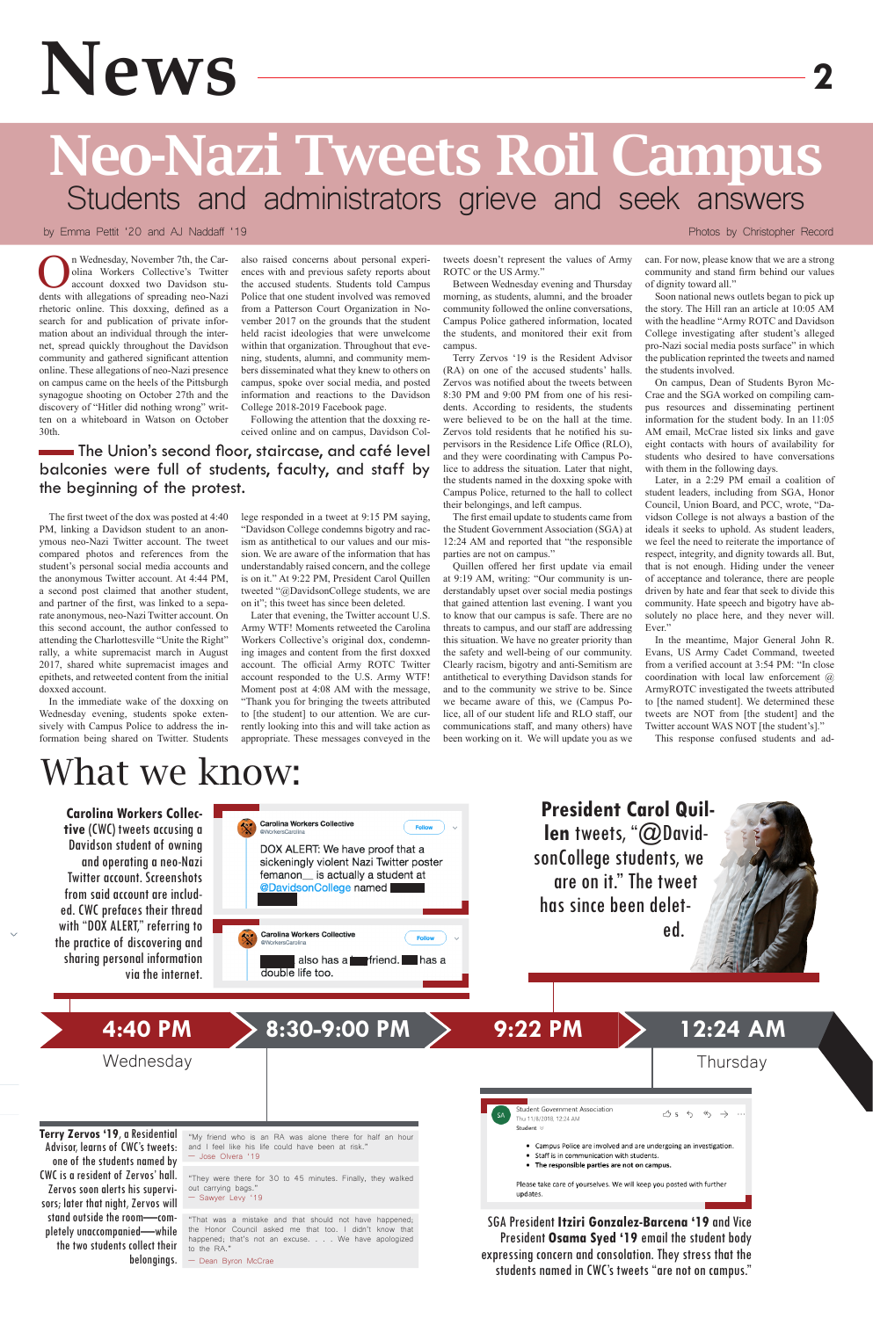# **News <sup>2</sup>**

**On** Wednesday, November 7th, the Car-<br>
olina Workers Collective's Twitter<br>
account doxxed two Davidson stu-<br>
dents with allegations of spreading neo-Nazi olina Workers Collective's Twitter account doxxed two Davidson students with allegations of spreading neo-Nazi rhetoric online. This doxxing, defined as a search for and publication of private information about an individual through the internet, spread quickly throughout the Davidson community and gathered significant attention online. These allegations of neo-Nazi presence on campus came on the heels of the Pittsburgh synagogue shooting on October 27th and the discovery of "Hitler did nothing wrong" written on a whiteboard in Watson on October 30th.

The first tweet of the dox was posted at 4:40 PM, linking a Davidson student to an anonymous neo-Nazi Twitter account. The tweet compared photos and references from the student's personal social media accounts and the anonymous Twitter account. At 4:44 PM, a second post claimed that another student, and partner of the first, was linked to a separate anonymous, neo-Nazi Twitter account. On this second account, the author confessed to attending the Charlottesville "Unite the Right" rally, a white supremacist march in August 2017, shared white supremacist images and epithets, and retweeted content from the initial doxxed account.

In the immediate wake of the doxxing on Wednesday evening, students spoke extensively with Campus Police to address the information being shared on Twitter. Students

also raised concerns about personal experiences with and previous safety reports about the accused students. Students told Campus Police that one student involved was removed from a Patterson Court Organization in November 2017 on the grounds that the student held racist ideologies that were unwelcome within that organization. Throughout that evening, students, alumni, and community members disseminated what they knew to others on campus, spoke over social media, and posted information and reactions to the Davidson College 2018-2019 Facebook page.

Following the attention that the doxxing received online and on campus, Davidson Col-

lege responded in a tweet at 9:15 PM saying, "Davidson College condemns bigotry and racism as antithetical to our values and our mission. We are aware of the information that has understandably raised concern, and the college is on it." At 9:22 PM, President Carol Quillen tweeted "@DavidsonCollege students, we are on it"; this tweet has since been deleted.

Later that evening, the Twitter account U.S. Army WTF! Moments retweeted the Carolina Workers Collective's original dox, condemning images and content from the first doxxed account. The official Army ROTC Twitter account responded to the U.S. Army WTF! Moment post at 4:08 AM with the message, "Thank you for bringing the tweets attributed to [the student] to our attention. We are currently looking into this and will take action as appropriate. These messages conveyed in the

Later, in a 2:29 PM email a coalition of student leaders, including from SGA, Honor Council, Union Board, and PCC, wrote, "Davidson College is not always a bastion of the ideals it seeks to uphold. As student leaders, we feel the need to reiterate the importance of respect, integrity, and dignity towards all. But, that is not enough. Hiding under the veneer of acceptance and tolerance, there are people driven by hate and fear that seek to divide this community. Hate speech and bigotry have absolutely no place here, and they never will. Ever.'

tweets doesn't represent the values of Army ROTC or the US Army."

Between Wednesday evening and Thursday morning, as students, alumni, and the broader community followed the online conversations, Campus Police gathered information, located the students, and monitored their exit from campus.

Terry Zervos '19 is the Resident Advisor (RA) on one of the accused students' halls. Zervos was notified about the tweets between 8:30 PM and 9:00 PM from one of his residents. According to residents, the students were believed to be on the hall at the time. Zervos told residents that he notified his supervisors in the Residence Life Office (RLO), and they were coordinating with Campus Police to address the situation. Later that night, the students named in the doxxing spoke with Campus Police, returned to the hall to collect their belongings, and left campus.

The first email update to students came from the Student Government Association (SGA) at 12:24 AM and reported that "the responsible parties are not on campus."

The Union's second floor, staircase, and café level balconies were full of students, faculty, and staff by the beginning of the protest.

> Quillen offered her first update via email at 9:19 AM, writing: "Our community is understandably upset over social media postings that gained attention last evening. I want you to know that our campus is safe. There are no threats to campus, and our staff are addressing this situation. We have no greater priority than the safety and well-being of our community. Clearly racism, bigotry and anti-Semitism are antithetical to everything Davidson stands for and to the community we strive to be. Since we became aware of this, we (Campus Police, all of our student life and RLO staff, our communications staff, and many others) have been working on it. We will update you as we

can. For now, please know that we are a strong community and stand firm behind our values of dignity toward all."

Soon national news outlets began to pick up the story. The Hill ran an article at 10:05 AM with the headline "Army ROTC and Davidson College investigating after student's alleged pro-Nazi social media posts surface" in which the publication reprinted the tweets and named the students involved.

On campus, Dean of Students Byron Mc-Crae and the SGA worked on compiling campus resources and disseminating pertinent information for the student body. In an 11:05 AM email, McCrae listed six links and gave eight contacts with hours of availability for students who desired to have conversations with them in the following days.

In the meantime, Major General John R. Evans, US Army Cadet Command, tweeted from a verified account at 3:54 PM: "In close coordination with local law enforcement @ ArmyROTC investigated the tweets attributed to [the named student]. We determined these tweets are NOT from [the student] and the Twitter account WAS NOT [the student's]."

This response confused students and ad-

**Carolina Workers Collec- tive** (CWC) tweets accusing a Davidson student of owning and operating a neo-Nazi Twitter account. Screenshots from said account are includsharing personal information





### What we know:

## Neo-Nazi Tweets Roil Campus Students and administrators grieve and seek answers

by Emma Pettit '20 and AJ Naddaff '19 **Photos by Christopher Record** by Christopher Record